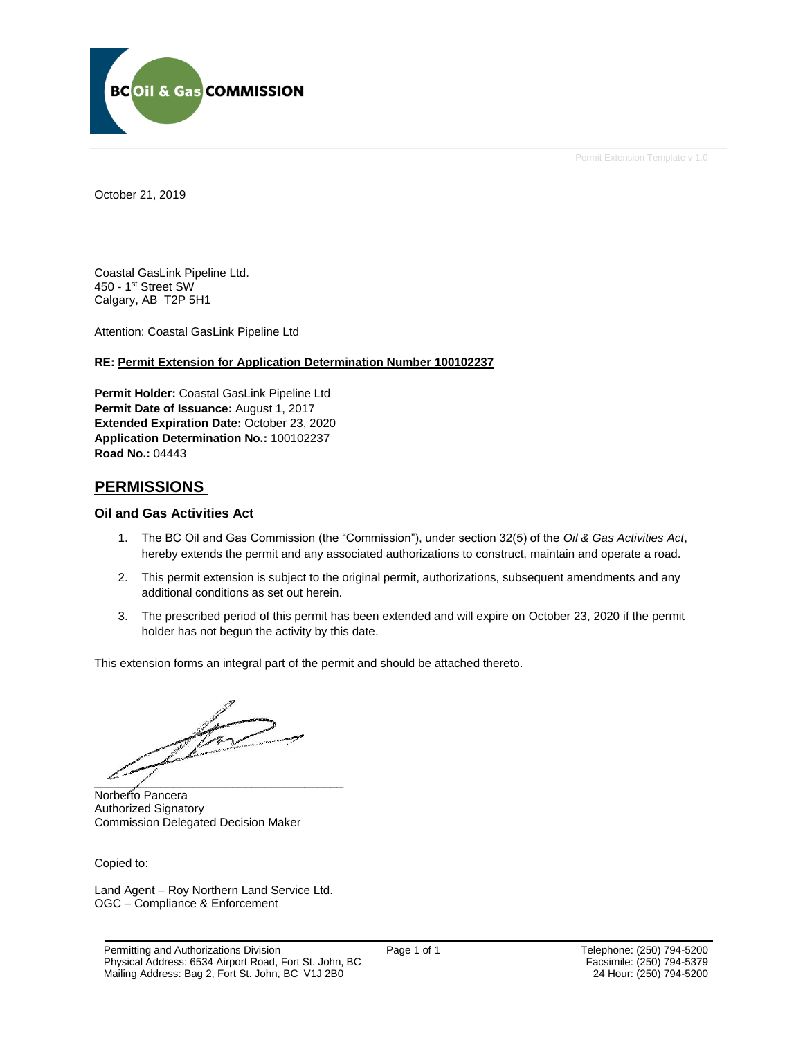

Permit Extension Template v 1.0

October 21, 2019

Coastal GasLink Pipeline Ltd. 450 - 1st Street SW Calgary, AB T2P 5H1

Attention: Coastal GasLink Pipeline Ltd

#### **RE: Permit Extension for Application Determination Number 100102237**

**Permit Holder:** Coastal GasLink Pipeline Ltd **Permit Date of Issuance:** August 1, 2017 **Extended Expiration Date:** October 23, 2020 **Application Determination No.:** 100102237 **Road No.:** 04443

#### **PERMISSIONS**

#### **Oil and Gas Activities Act**

- 1. The BC Oil and Gas Commission (the "Commission"), under section 32(5) of the *Oil & Gas Activities Act*, hereby extends the permit and any associated authorizations to construct, maintain and operate a road.
- 2. This permit extension is subject to the original permit, authorizations, subsequent amendments and any additional conditions as set out herein.
- 3. The prescribed period of this permit has been extended and will expire on October 23, 2020 if the permit holder has not begun the activity by this date.

This extension forms an integral part of the permit and should be attached thereto.

 $\overrightarrow{e}$  and  $\overrightarrow{e}$  and  $\overrightarrow{e}$  and  $\overrightarrow{e}$  and  $\overrightarrow{e}$  and  $\overrightarrow{e}$  and  $\overrightarrow{e}$  and  $\overrightarrow{e}$  and  $\overrightarrow{e}$  and  $\overrightarrow{e}$  and  $\overrightarrow{e}$  and  $\overrightarrow{e}$  and  $\overrightarrow{e}$  and  $\overrightarrow{e}$  and  $\overrightarrow{e}$  and  $\overrightarrow{e}$  and  $\overrightarrow{e}$  and

Norberto Pancera Authorized Signatory Commission Delegated Decision Maker

Copied to:

Land Agent – Roy Northern Land Service Ltd. OGC – Compliance & Enforcement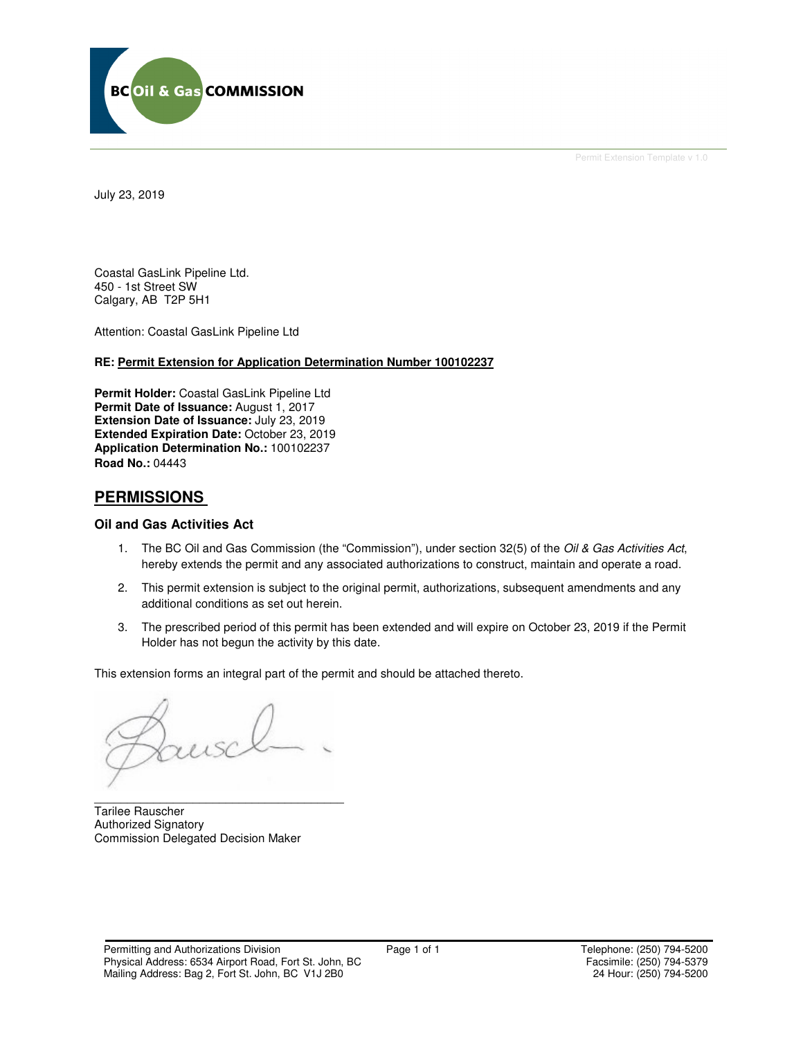

Permit Extension Template v 1.0

July 23, 2019

Coastal GasLink Pipeline Ltd. 450 - 1st Street SW Calgary, AB T2P 5H1

Attention: Coastal GasLink Pipeline Ltd

#### **RE: Permit Extension for Application Determination Number 100102237**

**Permit Holder:** Coastal GasLink Pipeline Ltd **Permit Date of Issuance:** August 1, 2017 **Extension Date of Issuance:** July 23, 2019 **Extended Expiration Date:** October 23, 2019 **Application Determination No.:** 100102237 **Road No.:** 04443

### **PERMISSIONS**

#### **Oil and Gas Activities Act**

- 1. The BC Oil and Gas Commission (the "Commission"), under section 32(5) of the Oil & Gas Activities Act, hereby extends the permit and any associated authorizations to construct, maintain and operate a road.
- 2. This permit extension is subject to the original permit, authorizations, subsequent amendments and any additional conditions as set out herein.
- 3. The prescribed period of this permit has been extended and will expire on October 23, 2019 if the Permit Holder has not begun the activity by this date.

This extension forms an integral part of the permit and should be attached thereto.

\_\_\_\_\_\_\_\_\_\_\_\_\_\_\_\_\_\_\_\_\_\_\_\_\_\_\_\_\_\_\_\_\_\_\_\_\_\_ Tarilee Rauscher Authorized Signatory Commission Delegated Decision Maker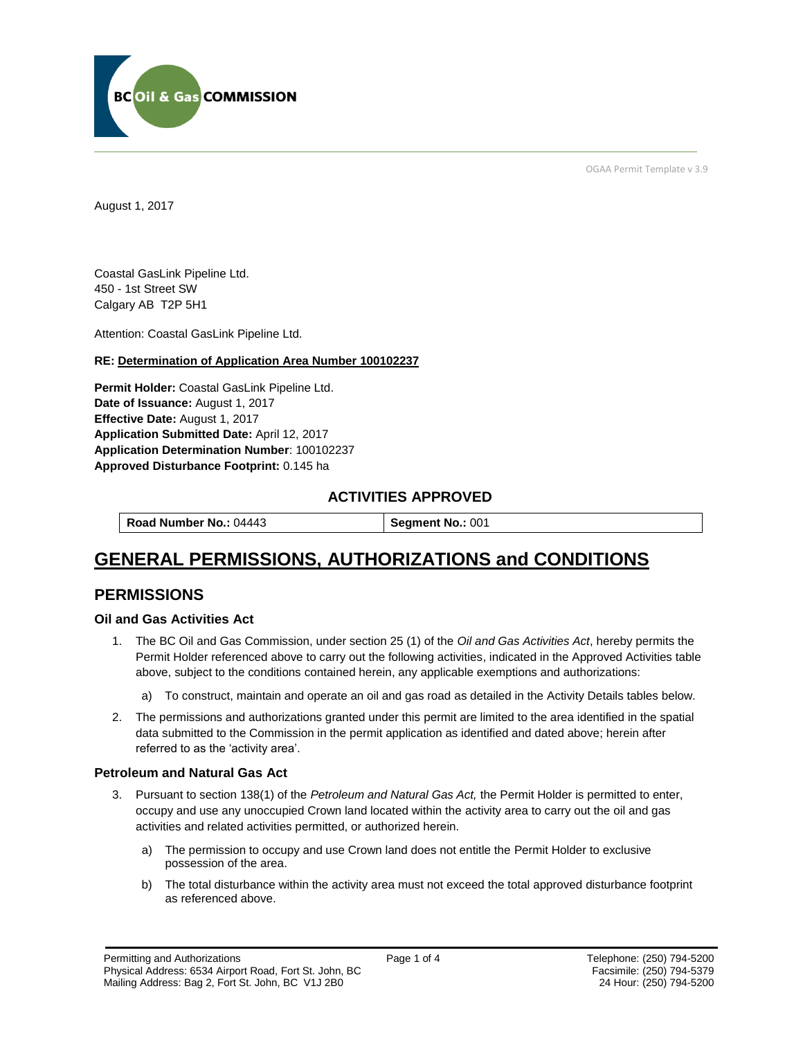

OGAA Permit Template v 3.9

August 1, 2017

Coastal GasLink Pipeline Ltd. 450 - 1st Street SW Calgary AB T2P 5H1

[Attention:](#page-2-0) Coastal GasLink Pipeline Ltd.

#### **RE: Determination of Application Area Number 100102237**

**[Permit Holder:](#page-2-0)** Coastal GasLink Pipeline Ltd. **[Date of Issuance:](#page-2-0)** August 1, 2017 **[Effective Date:](#page-2-1)** August 1, 2017 **[Application Submitted Date:](#page-2-0)** April 12, 2017 **[Application Determination Number](#page-2-0)**: 100102237 **Approved Disturbance Footprint:** 0.145 ha

### **ACTIVITIES APPROVED**

**[Road Number No.:](#page-2-0) 04443 <br><b>[Segment No.:](https://bi.bcogc.ca/Application%20Processing/Interactive%20Reports/(BIL-041)%20AMS%20Decision%20Summary.aspx) 001** 

# **GENERAL PERMISSIONS, AUTHORIZATIONS and CONDITIONS**

## **PERMISSIONS**

#### **Oil and Gas Activities Act**

- <span id="page-2-0"></span>1. The BC Oil and Gas Commission, under section 25 (1) of the *Oil and Gas Activities Act*, hereby permits the Permit Holder referenced above to carry out the following activities, indicated in the Approved Activities table above, subject to the conditions contained herein, any applicable exemptions and authorizations:
	- a) To construct, maintain and operate an oil and gas road as detailed in the Activity Details tables below.
- <span id="page-2-1"></span>2. The permissions and authorizations granted under this permit are limited to the area identified in the spatial data submitted to the Commission in the permit application as identified and dated above; herein after referred to as the 'activity area'.

#### **Petroleum and Natural Gas Act**

- 3. Pursuant to section 138(1) of the *Petroleum and Natural Gas Act,* the Permit Holder is permitted to enter, occupy and use any unoccupied Crown land located within the activity area to carry out the oil and gas activities and related activities permitted, or authorized herein.
	- a) The permission to occupy and use Crown land does not entitle the Permit Holder to exclusive possession of the area.
	- b) The total disturbance within the activity area must not exceed the total approved disturbance footprint as referenced above.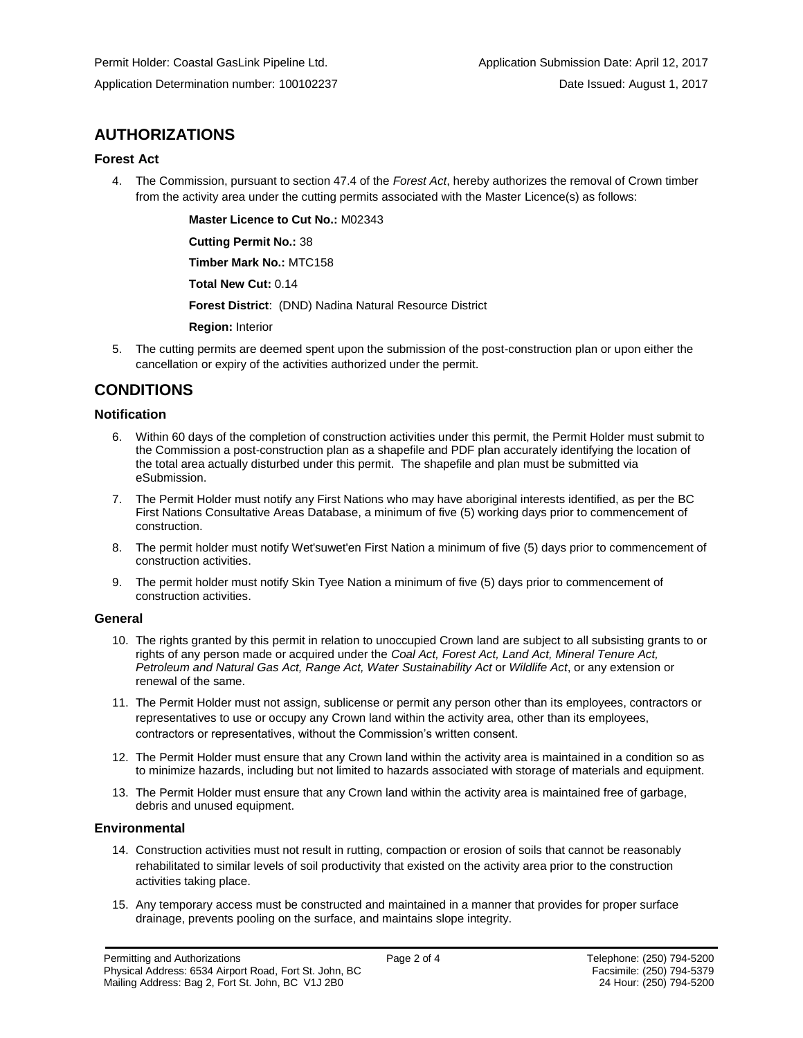## **AUTHORIZATIONS**

#### **Forest Act**

4. The Commission, pursuant to section 47.4 of the *Forest Act*, hereby authorizes the removal of Crown timber from the activity area under the cutting permits associated with the Master Licence(s) as follows:

**[Master Licence to Cut No.:](#page-2-0)** M02343

**[Cutting Permit No.:](#page-2-0)** 38

**[Timber Mark No.:](#page-2-0)** MTC158

**[Total New Cut:](#page-2-0)** 0.14

**[Forest District](https://ams-crd.bcogc.ca/crd/)**: (DND) Nadina Natural Resource District

**[Region:](#page-2-1)** Interior

5. The cutting permits are deemed spent upon the submission of the post-construction plan or upon either the cancellation or expiry of the activities authorized under the permit.

## **CONDITIONS**

#### **Notification**

- 6. Within 60 days of the completion of construction activities under this permit, the Permit Holder must submit to the Commission a post-construction plan as a shapefile and PDF plan accurately identifying the location of the total area actually disturbed under this permit. The shapefile and plan must be submitted via eSubmission.
- 7. The Permit Holder must notify any First Nations who may have aboriginal interests identified, as per the BC First Nations Consultative Areas Database, a minimum of five (5) working days prior to commencement of construction.
- 8. The permit holder must notify Wet'suwet'en First Nation a minimum of five (5) days prior to commencement of construction activities.
- 9. The permit holder must notify Skin Tyee Nation a minimum of five (5) days prior to commencement of construction activities.

#### **General**

- 10. The rights granted by this permit in relation to unoccupied Crown land are subject to all subsisting grants to or rights of any person made or acquired under the *Coal Act, Forest Act, Land Act, Mineral Tenure Act, Petroleum and Natural Gas Act, Range Act, Water Sustainability Act* or *Wildlife Act*, or any extension or renewal of the same.
- 11. The Permit Holder must not assign, sublicense or permit any person other than its employees, contractors or representatives to use or occupy any Crown land within the activity area, other than its employees, contractors or representatives, without the Commission's written consent.
- 12. The Permit Holder must ensure that any Crown land within the activity area is maintained in a condition so as to minimize hazards, including but not limited to hazards associated with storage of materials and equipment.
- 13. The Permit Holder must ensure that any Crown land within the activity area is maintained free of garbage, debris and unused equipment.

#### **Environmental**

- 14. Construction activities must not result in rutting, compaction or erosion of soils that cannot be reasonably rehabilitated to similar levels of soil productivity that existed on the activity area prior to the construction activities taking place.
- 15. Any temporary access must be constructed and maintained in a manner that provides for proper surface drainage, prevents pooling on the surface, and maintains slope integrity.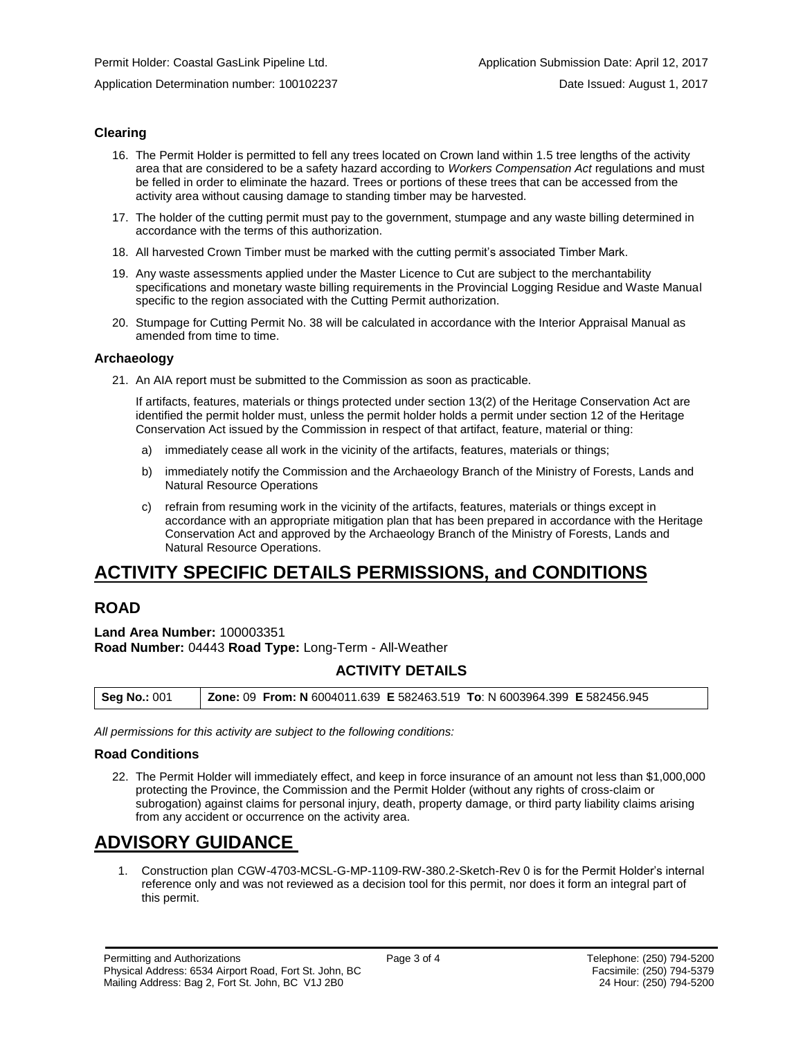Application Determination number: 100102237 Date Issued: August 1, 2017

#### **Clearing**

- 16. The Permit Holder is permitted to fell any trees located on Crown land within 1.5 tree lengths of the activity area that are considered to be a safety hazard according to *Workers Compensation Act* regulations and must be felled in order to eliminate the hazard. Trees or portions of these trees that can be accessed from the activity area without causing damage to standing timber may be harvested.
- 17. The holder of the cutting permit must pay to the government, stumpage and any waste billing determined in accordance with the terms of this authorization.
- 18. All harvested Crown Timber must be marked with the cutting permit's associated Timber Mark.
- 19. Any waste assessments applied under the Master Licence to Cut are subject to the merchantability specifications and monetary waste billing requirements in the Provincial Logging Residue and Waste Manual specific to the region associated with the Cutting Permit authorization.
- 20. Stumpage for Cutting Permit No. 38 will be calculated in accordance with the Interior Appraisal Manual as amended from time to time.

#### **Archaeology**

21. An AIA report must be submitted to the Commission as soon as practicable.

If artifacts, features, materials or things protected under section 13(2) of the Heritage Conservation Act are identified the permit holder must, unless the permit holder holds a permit under section 12 of the Heritage Conservation Act issued by the Commission in respect of that artifact, feature, material or thing:

- a) immediately cease all work in the vicinity of the artifacts, features, materials or things;
- b) immediately notify the Commission and the Archaeology Branch of the Ministry of Forests, Lands and Natural Resource Operations
- c) refrain from resuming work in the vicinity of the artifacts, features, materials or things except in accordance with an appropriate mitigation plan that has been prepared in accordance with the Heritage Conservation Act and approved by the Archaeology Branch of the Ministry of Forests, Lands and Natural Resource Operations.

# **ACTIVITY SPECIFIC DETAILS PERMISSIONS, and CONDITIONS**

## **ROAD**

**Land Area Number:** 100003351 **Road Number:** 04443 **Road Type:** Long-Term - All-Weather

### **ACTIVITY DETAILS**

| <b>Seg No.: 001</b> | Zone: 09 From: N 6004011.639 E 582463.519 To: N 6003964.399 E 582456.945 |  |
|---------------------|--------------------------------------------------------------------------|--|
|                     |                                                                          |  |

*All permissions for this activity are subject to the following conditions:*

#### **Road Conditions**

22. The Permit Holder will immediately effect, and keep in force insurance of an amount not less than \$1,000,000 protecting the Province, the Commission and the Permit Holder (without any rights of cross-claim or subrogation) against claims for personal injury, death, property damage, or third party liability claims arising from any accident or occurrence on the activity area.

# **ADVISORY GUIDANCE**

1. Construction plan CGW-4703-MCSL-G-MP-1109-RW-380.2-Sketch-Rev 0 is for the Permit Holder's internal reference only and was not reviewed as a decision tool for this permit, nor does it form an integral part of this permit.